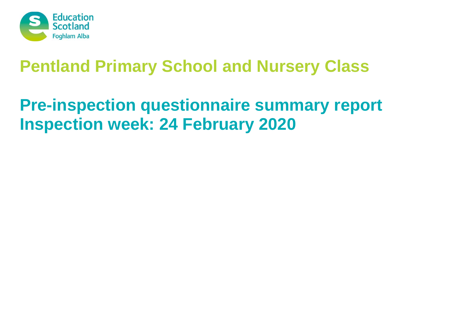

# **Pre-inspection questionnaire summary report Inspection week: 24 February 2020**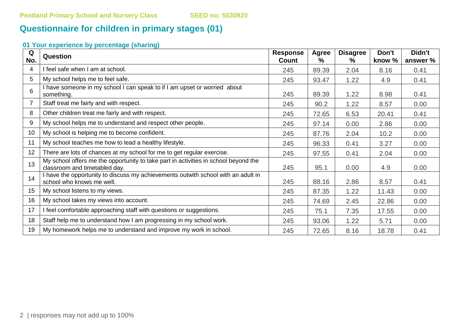# **Questionnaire for children in primary stages (01)**

| Q<br>No. | <b>Question</b>                                                                                                      | <b>Response</b><br><b>Count</b> | Agree<br>$\frac{9}{6}$ | <b>Disagree</b><br>% | Don't<br>know % | Didn't<br>answer % |
|----------|----------------------------------------------------------------------------------------------------------------------|---------------------------------|------------------------|----------------------|-----------------|--------------------|
| 4        | I feel safe when I am at school.                                                                                     | 245                             | 89.39                  | 2.04                 | 8.16            | 0.41               |
| 5        | My school helps me to feel safe.                                                                                     | 245                             | 93.47                  | 1.22                 | 4.9             | 0.41               |
| 6        | I have someone in my school I can speak to if I am upset or worried about<br>something.                              | 245                             | 89.39                  | 1.22                 | 8.98            | 0.41               |
| 7        | Staff treat me fairly and with respect.                                                                              | 245                             | 90.2                   | 1.22                 | 8.57            | 0.00               |
| 8        | Other children treat me fairly and with respect.                                                                     | 245                             | 72.65                  | 6.53                 | 20.41           | 0.41               |
| 9        | My school helps me to understand and respect other people.                                                           | 245                             | 97.14                  | 0.00                 | 2.86            | 0.00               |
| 10       | My school is helping me to become confident.                                                                         | 245                             | 87.76                  | 2.04                 | 10.2            | 0.00               |
| 11       | My school teaches me how to lead a healthy lifestyle.                                                                | 245                             | 96.33                  | 0.41                 | 3.27            | 0.00               |
| 12       | There are lots of chances at my school for me to get regular exercise.                                               | 245                             | 97.55                  | 0.41                 | 2.04            | 0.00               |
| 13       | My school offers me the opportunity to take part in activities in school beyond the<br>classroom and timetabled day. | 245                             | 95.1                   | 0.00                 | 4.9             | 0.00               |
| 14       | I have the opportunity to discuss my achievements outwith school with an adult in<br>school who knows me well.       | 245                             | 88.16                  | 2.86                 | 8.57            | 0.41               |
| 15       | My school listens to my views.                                                                                       | 245                             | 87.35                  | 1.22                 | 11.43           | 0.00               |
| 16       | My school takes my views into account.                                                                               | 245                             | 74.69                  | 2.45                 | 22.86           | 0.00               |
| 17       | I feel comfortable approaching staff with questions or suggestions.                                                  | 245                             | 75.1                   | 7.35                 | 17.55           | 0.00               |
| 18       | Staff help me to understand how I am progressing in my school work.                                                  | 245                             | 93.06                  | 1.22                 | 5.71            | 0.00               |
| 19       | My homework helps me to understand and improve my work in school.                                                    | 245                             | 72.65                  | 8.16                 | 18.78           | 0.41               |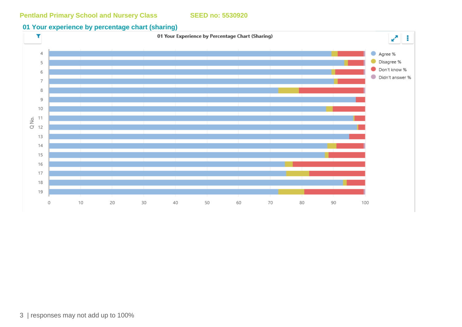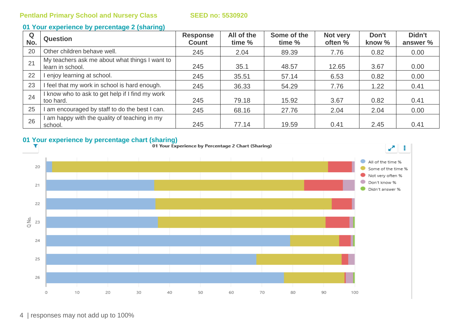| Q<br>No. | <b>Question</b>                                                    | <b>Response</b><br><b>Count</b> | All of the<br>time % | Some of the<br>time % | Not very<br>often % | Don't<br>know % | Didn't<br>answer % |
|----------|--------------------------------------------------------------------|---------------------------------|----------------------|-----------------------|---------------------|-----------------|--------------------|
| 20       | Other children behave well.                                        | 245                             | 2.04                 | 89.39                 | 7.76                | 0.82            | 0.00               |
| 21       | My teachers ask me about what things I want to<br>learn in school. | 245                             | 35.1                 | 48.57                 | 12.65               | 3.67            | 0.00               |
| 22       | enjoy learning at school.                                          | 245                             | 35.51                | 57.14                 | 6.53                | 0.82            | 0.00               |
| 23       | I feel that my work in school is hard enough.                      | 245                             | 36.33                | 54.29                 | 7.76                | 1.22            | 0.41               |
| 24       | I know who to ask to get help if I find my work<br>too hard.       | 245                             | 79.18                | 15.92                 | 3.67                | 0.82            | 0.41               |
| 25       | I am encouraged by staff to do the best I can.                     | 245                             | 68.16                | 27.76                 | 2.04                | 2.04            | 0.00               |
| 26       | I am happy with the quality of teaching in my<br>school.           | 245                             | 77.14                | 19.59                 | 0.41                | 2.45            | 0.41               |

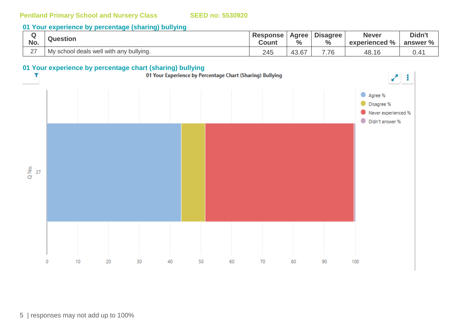#### **01 Your experience by percentage (sharing) bullying**

| No.    | <b>Question</b>                         | <b>Response</b><br><b>Count</b> | Agree<br>$\frac{0}{0}$ | <b>Disagree</b><br>$\frac{6}{6}$ | <b>Never</b><br>experienced % | Didn't<br>answer % |
|--------|-----------------------------------------|---------------------------------|------------------------|----------------------------------|-------------------------------|--------------------|
| $\sim$ | My school deals well with any bullying. | 245                             | $\sim$<br>40.0.        | $\overline{\phantom{a}}$<br>.76  | 48.16                         |                    |

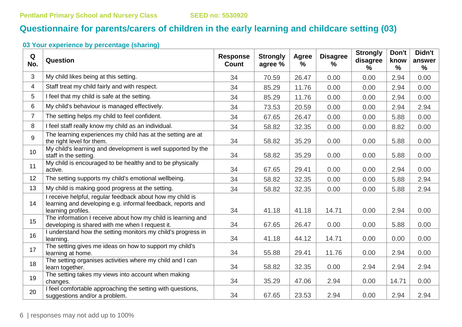# **Questionnaire for parents/carers of children in the early learning and childcare setting (03)**

| Q<br>No.       | Question                                                                                                                                       | <b>Response</b><br><b>Count</b> | <b>Strongly</b><br>agree % | <b>Agree</b><br>% | <b>Disagree</b><br>% | <b>Strongly</b><br>disagree<br>$\%$ | Don't<br>know<br>$\frac{0}{0}$ | Didn't<br>answer<br>% |
|----------------|------------------------------------------------------------------------------------------------------------------------------------------------|---------------------------------|----------------------------|-------------------|----------------------|-------------------------------------|--------------------------------|-----------------------|
| 3              | My child likes being at this setting.                                                                                                          | 34                              | 70.59                      | 26.47             | 0.00                 | 0.00                                | 2.94                           | 0.00                  |
| 4              | Staff treat my child fairly and with respect.                                                                                                  | 34                              | 85.29                      | 11.76             | 0.00                 | 0.00                                | 2.94                           | 0.00                  |
| 5              | I feel that my child is safe at the setting.                                                                                                   | 34                              | 85.29                      | 11.76             | 0.00                 | 0.00                                | 2.94                           | 0.00                  |
| 6              | My child's behaviour is managed effectively.                                                                                                   | 34                              | 73.53                      | 20.59             | 0.00                 | 0.00                                | 2.94                           | 2.94                  |
| $\overline{7}$ | The setting helps my child to feel confident.                                                                                                  | 34                              | 67.65                      | 26.47             | 0.00                 | 0.00                                | 5.88                           | 0.00                  |
| 8              | I feel staff really know my child as an individual.                                                                                            | 34                              | 58.82                      | 32.35             | 0.00                 | 0.00                                | 8.82                           | 0.00                  |
| 9              | The learning experiences my child has at the setting are at<br>the right level for them.                                                       | 34                              | 58.82                      | 35.29             | 0.00                 | 0.00                                | 5.88                           | 0.00                  |
| 10             | My child's learning and development is well supported by the<br>staff in the setting.                                                          | 34                              | 58.82                      | 35.29             | 0.00                 | 0.00                                | 5.88                           | 0.00                  |
| 11             | My child is encouraged to be healthy and to be physically<br>active.                                                                           | 34                              | 67.65                      | 29.41             | 0.00                 | 0.00                                | 2.94                           | 0.00                  |
| 12             | The setting supports my child's emotional wellbeing.                                                                                           | 34                              | 58.82                      | 32.35             | 0.00                 | 0.00                                | 5.88                           | 2.94                  |
| 13             | My child is making good progress at the setting.                                                                                               | 34                              | 58.82                      | 32.35             | 0.00                 | 0.00                                | 5.88                           | 2.94                  |
| 14             | I receive helpful, regular feedback about how my child is<br>learning and developing e.g. informal feedback, reports and<br>learning profiles. | 34                              | 41.18                      | 41.18             | 14.71                | 0.00                                | 2.94                           | 0.00                  |
| 15             | The information I receive about how my child is learning and<br>developing is shared with me when I request it.                                | 34                              | 67.65                      | 26.47             | 0.00                 | 0.00                                | 5.88                           | 0.00                  |
| 16             | I understand how the setting monitors my child's progress in<br>learning.                                                                      | 34                              | 41.18                      | 44.12             | 14.71                | 0.00                                | 0.00                           | 0.00                  |
| 17             | The setting gives me ideas on how to support my child's<br>learning at home.                                                                   | 34                              | 55.88                      | 29.41             | 11.76                | 0.00                                | 2.94                           | 0.00                  |
| 18             | The setting organises activities where my child and I can<br>learn together.                                                                   | 34                              | 58.82                      | 32.35             | 0.00                 | 2.94                                | 2.94                           | 2.94                  |
| 19             | The setting takes my views into account when making<br>changes.                                                                                | 34                              | 35.29                      | 47.06             | 2.94                 | 0.00                                | 14.71                          | 0.00                  |
| 20             | I feel comfortable approaching the setting with questions,<br>suggestions and/or a problem.                                                    | 34                              | 67.65                      | 23.53             | 2.94                 | 0.00                                | 2.94                           | 2.94                  |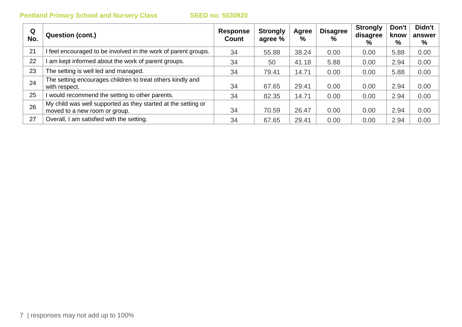| Q<br>No. | Question (cont.)                                                                               | <b>Response</b><br>Count | <b>Strongly</b><br>agree % | Agree<br>$\%$ | <b>Disagree</b><br>$\frac{0}{0}$ | <b>Strongly</b><br>disagree<br>% | Don't<br>know<br>% | Didn't<br>answer<br>% |
|----------|------------------------------------------------------------------------------------------------|--------------------------|----------------------------|---------------|----------------------------------|----------------------------------|--------------------|-----------------------|
| 21       | I feel encouraged to be involved in the work of parent groups.                                 | 34                       | 55.88                      | 38.24         | 0.00                             | 0.00                             | 5.88               | 0.00                  |
| 22       | I am kept informed about the work of parent groups.                                            | 34                       | 50                         | 41.18         | 5.88                             | 0.00                             | 2.94               | 0.00                  |
| 23       | The setting is well led and managed.                                                           | 34                       | 79.41                      | 14.71         | 0.00                             | 0.00                             | 5.88               | 0.00                  |
| 24       | The setting encourages children to treat others kindly and<br>with respect.                    | 34                       | 67.65                      | 29.41         | 0.00                             | 0.00                             | 2.94               | 0.00                  |
| 25       | I would recommend the setting to other parents.                                                | 34                       | 82.35                      | 14.71         | 0.00                             | 0.00                             | 2.94               | 0.00                  |
| 26       | My child was well supported as they started at the setting or<br>moved to a new room or group. | 34                       | 70.59                      | 26.47         | 0.00                             | 0.00                             | 2.94               | 0.00                  |
| 27       | Overall, I am satisfied with the setting.                                                      | 34                       | 67.65                      | 29.41         | 0.00                             | 0.00                             | 2.94               | 0.00                  |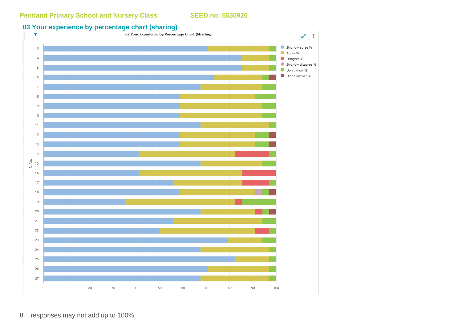### **03 Your experience by percentage chart (sharing)**



8 | responses may not add up to 100%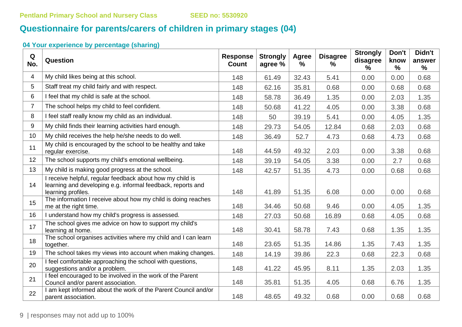# **Questionnaire for parents/carers of children in primary stages (04)**

| Q<br>No.       | Question                                                                                                                                       | <b>Response</b><br><b>Count</b> | <b>Strongly</b><br>agree % | Agree<br>% | <b>Disagree</b><br>% | <b>Strongly</b><br>disagree<br>% | Don't<br>know<br>$\%$ | Didn't<br>answer<br>$\%$ |
|----------------|------------------------------------------------------------------------------------------------------------------------------------------------|---------------------------------|----------------------------|------------|----------------------|----------------------------------|-----------------------|--------------------------|
| 4              | My child likes being at this school.                                                                                                           | 148                             | 61.49                      | 32.43      | 5.41                 | 0.00                             | 0.00                  | 0.68                     |
| 5              | Staff treat my child fairly and with respect.                                                                                                  | 148                             | 62.16                      | 35.81      | 0.68                 | 0.00                             | 0.68                  | 0.68                     |
| 6              | I feel that my child is safe at the school.                                                                                                    | 148                             | 58.78                      | 36.49      | 1.35                 | 0.00                             | 2.03                  | 1.35                     |
| $\overline{7}$ | The school helps my child to feel confident.                                                                                                   | 148                             | 50.68                      | 41.22      | 4.05                 | 0.00                             | 3.38                  | 0.68                     |
| 8              | I feel staff really know my child as an individual.                                                                                            | 148                             | 50                         | 39.19      | 5.41                 | 0.00                             | 4.05                  | 1.35                     |
| 9              | My child finds their learning activities hard enough.                                                                                          | 148                             | 29.73                      | 54.05      | 12.84                | 0.68                             | 2.03                  | 0.68                     |
| 10             | My child receives the help he/she needs to do well.                                                                                            | 148                             | 36.49                      | 52.7       | 4.73                 | 0.68                             | 4.73                  | 0.68                     |
| 11             | My child is encouraged by the school to be healthy and take<br>regular exercise.                                                               | 148                             | 44.59                      | 49.32      | 2.03                 | 0.00                             | 3.38                  | 0.68                     |
| 12             | The school supports my child's emotional wellbeing.                                                                                            | 148                             | 39.19                      | 54.05      | 3.38                 | 0.00                             | 2.7                   | 0.68                     |
| 13             | My child is making good progress at the school.                                                                                                | 148                             | 42.57                      | 51.35      | 4.73                 | 0.00                             | 0.68                  | 0.68                     |
| 14             | I receive helpful, regular feedback about how my child is<br>learning and developing e.g. informal feedback, reports and<br>learning profiles. | 148                             | 41.89                      | 51.35      | 6.08                 | 0.00                             | 0.00                  | 0.68                     |
| 15             | The information I receive about how my child is doing reaches<br>me at the right time.                                                         | 148                             | 34.46                      | 50.68      | 9.46                 | 0.00                             | 4.05                  | 1.35                     |
| 16             | I understand how my child's progress is assessed.                                                                                              | 148                             | 27.03                      | 50.68      | 16.89                | 0.68                             | 4.05                  | 0.68                     |
| 17             | The school gives me advice on how to support my child's<br>learning at home.                                                                   | 148                             | 30.41                      | 58.78      | 7.43                 | 0.68                             | 1.35                  | 1.35                     |
| 18             | The school organises activities where my child and I can learn<br>together.                                                                    | 148                             | 23.65                      | 51.35      | 14.86                | 1.35                             | 7.43                  | 1.35                     |
| 19             | The school takes my views into account when making changes.                                                                                    | 148                             | 14.19                      | 39.86      | 22.3                 | 0.68                             | 22.3                  | 0.68                     |
| 20             | I feel comfortable approaching the school with questions,<br>suggestions and/or a problem.                                                     | 148                             | 41.22                      | 45.95      | 8.11                 | 1.35                             | 2.03                  | 1.35                     |
| 21             | I feel encouraged to be involved in the work of the Parent<br>Council and/or parent association.                                               | 148                             | 35.81                      | 51.35      | 4.05                 | 0.68                             | 6.76                  | 1.35                     |
| 22             | I am kept informed about the work of the Parent Council and/or<br>parent association.                                                          | 148                             | 48.65                      | 49.32      | 0.68                 | 0.00                             | 0.68                  | 0.68                     |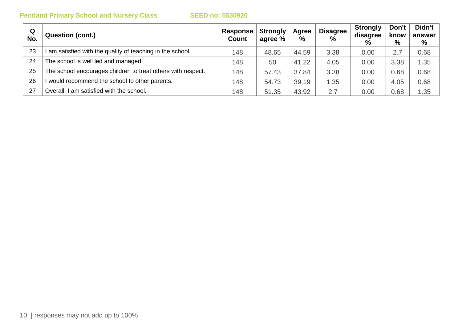| Q<br>No. | <b>Question (cont.)</b>                                      | Response<br><b>Count</b> | <b>Strongly</b><br>agree % | Agree<br>$\%$ | <b>Disagree</b><br>$\frac{0}{0}$ | <b>Strongly</b><br>disagree<br>$\%$ | Don't<br>know<br>% | Didn't<br>answer<br>% |
|----------|--------------------------------------------------------------|--------------------------|----------------------------|---------------|----------------------------------|-------------------------------------|--------------------|-----------------------|
| 23       | am satisfied with the quality of teaching in the school.     | 148                      | 48.65                      | 44.59         | 3.38                             | 0.00                                | 2.7                | 0.68                  |
| 24       | The school is well led and managed.                          | 148                      | 50                         | 41.22         | 4.05                             | 0.00                                | 3.38               | 1.35                  |
| 25       | The school encourages children to treat others with respect. | 148                      | 57.43                      | 37.84         | 3.38                             | 0.00                                | 0.68               | 0.68                  |
| 26       | would recommend the school to other parents.                 | 148                      | 54.73                      | 39.19         | 1.35                             | 0.00                                | 4.05               | 0.68                  |
| 27       | Overall, I am satisfied with the school.                     | 148                      | 51.35                      | 43.92         | 2.7                              | 0.00                                | 0.68               | 1.35                  |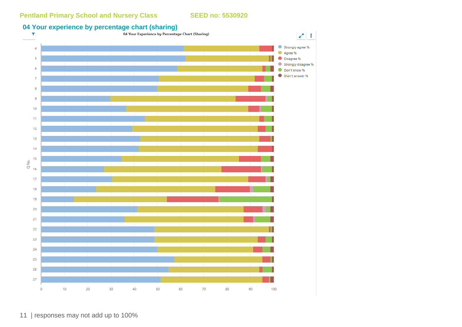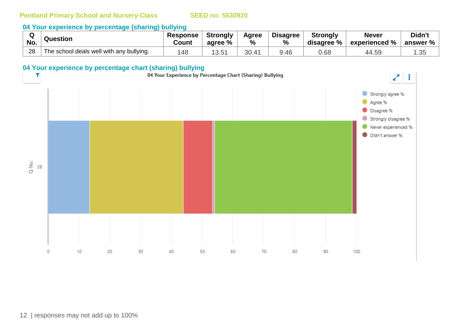#### **04 Your experience by percentage (sharing) bullying**

|     | Question                                 | <b>Response</b> | Strongly   | Agree | <b>Disagree</b> | <b>Strongly</b> | <b>Never</b>  | Didn't          |
|-----|------------------------------------------|-----------------|------------|-------|-----------------|-----------------|---------------|-----------------|
| No. |                                          | Count           | agree %    | %     | $\%$            | disagree %      | experienced % | answer $\%$ $ $ |
| 28  | The school deals well with any bullying. | '4c             | ィっ<br>3.51 | 30.   | 9.46            | 0.68            | 44.59         | つに<br>.JJ       |

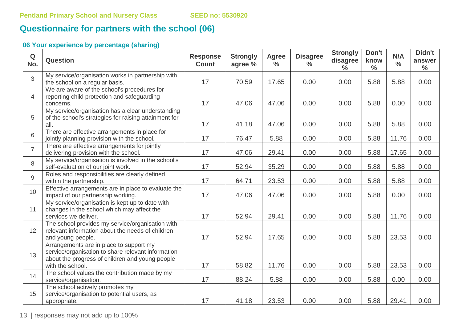# **Questionnaire for partners with the school (06)**

# **06 Your experience by percentage (sharing)**

| $\mathbf Q$<br>No. | <b>Question</b>                                                                                                                                                      | <b>Response</b><br><b>Count</b> | <b>Strongly</b><br>agree % | <b>Agree</b><br>$\frac{0}{0}$ | <b>Disagree</b><br>$\frac{0}{0}$ | <b>Strongly</b><br>disagree<br>$\frac{0}{0}$ | Don't<br>know<br>$\frac{6}{6}$ | N/A<br>$\frac{0}{0}$ | Didn't<br>answer<br>$\frac{0}{0}$ |
|--------------------|----------------------------------------------------------------------------------------------------------------------------------------------------------------------|---------------------------------|----------------------------|-------------------------------|----------------------------------|----------------------------------------------|--------------------------------|----------------------|-----------------------------------|
| 3                  | My service/organisation works in partnership with<br>the school on a regular basis.                                                                                  | 17                              | 70.59                      | 17.65                         | 0.00                             | 0.00                                         | 5.88                           | 5.88                 | 0.00                              |
| $\overline{4}$     | We are aware of the school's procedures for<br>reporting child protection and safeguarding<br>concerns.                                                              | 17                              | 47.06                      | 47.06                         | 0.00                             | 0.00                                         | 5.88                           | 0.00                 | 0.00                              |
| 5                  | My service/organisation has a clear understanding<br>of the school's strategies for raising attainment for<br>all.                                                   | 17                              | 41.18                      | 47.06                         | 0.00                             | 0.00                                         | 5.88                           | 5.88                 | 0.00                              |
| 6                  | There are effective arrangements in place for<br>jointly planning provision with the school.                                                                         | 17                              | 76.47                      | 5.88                          | 0.00                             | 0.00                                         | 5.88                           | 11.76                | 0.00                              |
| $\overline{7}$     | There are effective arrangements for jointly<br>delivering provision with the school.                                                                                | 17                              | 47.06                      | 29.41                         | 0.00                             | 0.00                                         | 5.88                           | 17.65                | 0.00                              |
| 8                  | My service/organisation is involved in the school's<br>self-evaluation of our joint work.                                                                            | 17                              | 52.94                      | 35.29                         | 0.00                             | 0.00                                         | 5.88                           | 5.88                 | 0.00                              |
| 9                  | Roles and responsibilities are clearly defined<br>within the partnership.                                                                                            | 17                              | 64.71                      | 23.53                         | 0.00                             | 0.00                                         | 5.88                           | 5.88                 | 0.00                              |
| 10                 | Effective arrangements are in place to evaluate the<br>impact of our partnership working.                                                                            | 17                              | 47.06                      | 47.06                         | 0.00                             | 0.00                                         | 5.88                           | 0.00                 | 0.00                              |
| 11                 | My service/organisation is kept up to date with<br>changes in the school which may affect the<br>services we deliver.                                                | 17                              | 52.94                      | 29.41                         | 0.00                             | 0.00                                         | 5.88                           | 11.76                | 0.00                              |
| 12                 | The school provides my service/organisation with<br>relevant information about the needs of children<br>and young people.                                            | 17                              | 52.94                      | 17.65                         | 0.00                             | 0.00                                         | 5.88                           | 23.53                | 0.00                              |
| 13                 | Arrangements are in place to support my<br>service/organisation to share relevant information<br>about the progress of children and young people<br>with the school. | 17                              | 58.82                      | 11.76                         | 0.00                             | 0.00                                         | 5.88                           | 23.53                | 0.00                              |
| 14                 | The school values the contribution made by my<br>service/organisation.                                                                                               | 17                              | 88.24                      | 5.88                          | 0.00                             | 0.00                                         | 5.88                           | 0.00                 | 0.00                              |
| 15                 | The school actively promotes my<br>service/organisation to potential users, as<br>appropriate.                                                                       | 17                              | 41.18                      | 23.53                         | 0.00                             | 0.00                                         | 5.88                           | 29.41                | 0.00                              |

13 | responses may not add up to 100%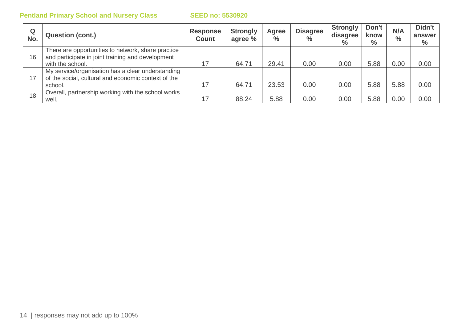| Q<br>No. | <b>Question (cont.)</b>                                                                                                     | <b>Response</b><br><b>Count</b> | <b>Strongly</b><br>agree % | Agree<br>$\frac{0}{0}$ | <b>Disagree</b><br>$\%$ | <b>Strongly</b><br>disagree<br>$\%$ | Don't<br>know<br>$\%$ | N/A<br>$\frac{0}{0}$ | Didn't<br>answer<br>$\%$ |
|----------|-----------------------------------------------------------------------------------------------------------------------------|---------------------------------|----------------------------|------------------------|-------------------------|-------------------------------------|-----------------------|----------------------|--------------------------|
| 16       | There are opportunities to network, share practice<br>and participate in joint training and development<br>with the school. |                                 | 64.71                      | 29.41                  | 0.00                    | 0.00                                | 5.88                  | 0.00                 | 0.00                     |
| 17       | My service/organisation has a clear understanding<br>of the social, cultural and economic context of the<br>school.         |                                 | 64.71                      | 23.53                  | 0.00                    | 0.00                                | 5.88                  | 5.88                 | 0.00                     |
| 18       | Overall, partnership working with the school works<br>well.                                                                 | 17                              | 88.24                      | 5.88                   | 0.00                    | 0.00                                | 5.88                  | 0.00                 | 0.00                     |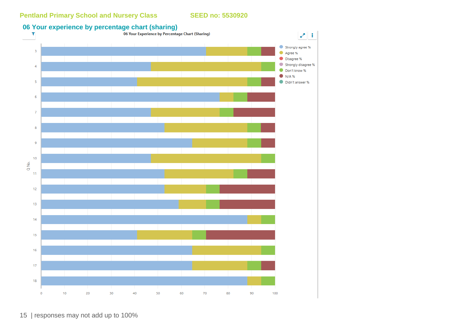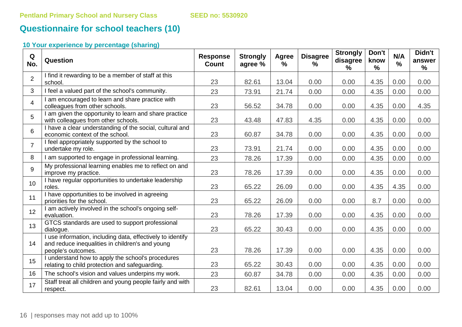# **Questionnaire for school teachers (10)**

| Q<br>No.       | Question                                                                                                                            | <b>Response</b><br><b>Count</b> | <b>Strongly</b><br>agree % | Agree<br>$\frac{9}{6}$ | <b>Disagree</b><br>$\%$ | <b>Strongly</b><br>disagree<br>% | Don't<br>know<br>$\frac{9}{6}$ | N/A<br>$\frac{0}{0}$ | Didn't<br>answer<br>$\frac{9}{6}$ |
|----------------|-------------------------------------------------------------------------------------------------------------------------------------|---------------------------------|----------------------------|------------------------|-------------------------|----------------------------------|--------------------------------|----------------------|-----------------------------------|
| $\overline{2}$ | I find it rewarding to be a member of staff at this<br>school.                                                                      | 23                              | 82.61                      | 13.04                  | 0.00                    | 0.00                             | 4.35                           | 0.00                 | 0.00                              |
| 3              | I feel a valued part of the school's community.                                                                                     | 23                              | 73.91                      | 21.74                  | 0.00                    | 0.00                             | 4.35                           | 0.00                 | 0.00                              |
| $\overline{4}$ | I am encouraged to learn and share practice with<br>colleagues from other schools.                                                  | 23                              | 56.52                      | 34.78                  | 0.00                    | 0.00                             | 4.35                           | 0.00                 | 4.35                              |
| 5              | I am given the opportunity to learn and share practice<br>with colleagues from other schools.                                       | 23                              | 43.48                      | 47.83                  | 4.35                    | 0.00                             | 4.35                           | 0.00                 | 0.00                              |
| 6              | I have a clear understanding of the social, cultural and<br>economic context of the school.                                         | 23                              | 60.87                      | 34.78                  | 0.00                    | 0.00                             | 4.35                           | 0.00                 | 0.00                              |
| $\overline{7}$ | I feel appropriately supported by the school to<br>undertake my role.                                                               | 23                              | 73.91                      | 21.74                  | 0.00                    | 0.00                             | 4.35                           | 0.00                 | 0.00                              |
| 8              | I am supported to engage in professional learning.                                                                                  | 23                              | 78.26                      | 17.39                  | 0.00                    | 0.00                             | 4.35                           | 0.00                 | 0.00                              |
| 9              | My professional learning enables me to reflect on and<br>improve my practice.                                                       | 23                              | 78.26                      | 17.39                  | 0.00                    | 0.00                             | 4.35                           | 0.00                 | 0.00                              |
| 10             | I have regular opportunities to undertake leadership<br>roles.                                                                      | 23                              | 65.22                      | 26.09                  | 0.00                    | 0.00                             | 4.35                           | 4.35                 | 0.00                              |
| 11             | I have opportunities to be involved in agreeing<br>priorities for the school.                                                       | 23                              | 65.22                      | 26.09                  | 0.00                    | 0.00                             | 8.7                            | 0.00                 | 0.00                              |
| 12             | I am actively involved in the school's ongoing self-<br>evaluation.                                                                 | 23                              | 78.26                      | 17.39                  | 0.00                    | 0.00                             | 4.35                           | 0.00                 | 0.00                              |
| 13             | GTCS standards are used to support professional<br>dialogue.                                                                        | 23                              | 65.22                      | 30.43                  | 0.00                    | 0.00                             | 4.35                           | 0.00                 | 0.00                              |
| 14             | I use information, including data, effectively to identify<br>and reduce inequalities in children's and young<br>people's outcomes. | 23                              | 78.26                      | 17.39                  | 0.00                    | 0.00                             | 4.35                           | 0.00                 | 0.00                              |
| 15             | I understand how to apply the school's procedures<br>relating to child protection and safeguarding.                                 | 23                              | 65.22                      | 30.43                  | 0.00                    | 0.00                             | 4.35                           | 0.00                 | 0.00                              |
| 16             | The school's vision and values underpins my work.                                                                                   | 23                              | 60.87                      | 34.78                  | 0.00                    | 0.00                             | 4.35                           | 0.00                 | 0.00                              |
| 17             | Staff treat all children and young people fairly and with<br>respect.                                                               | 23                              | 82.61                      | 13.04                  | 0.00                    | 0.00                             | 4.35                           | 0.00                 | 0.00                              |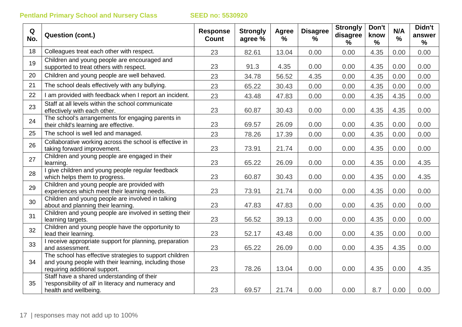| Q<br>No. | <b>Question (cont.)</b>                                                                                                                           | <b>Response</b><br>Count | <b>Strongly</b><br>agree % | <b>Agree</b><br>$\%$ | <b>Disagree</b><br>% | <b>Strongly</b><br>disagree<br>$\frac{9}{6}$ | Don't<br>know<br>$\frac{0}{0}$ | N/A<br>$\frac{0}{0}$ | Didn't<br>answer<br>$\%$ |
|----------|---------------------------------------------------------------------------------------------------------------------------------------------------|--------------------------|----------------------------|----------------------|----------------------|----------------------------------------------|--------------------------------|----------------------|--------------------------|
| 18       | Colleagues treat each other with respect.                                                                                                         | 23                       | 82.61                      | 13.04                | 0.00                 | 0.00                                         | 4.35                           | 0.00                 | 0.00                     |
| 19       | Children and young people are encouraged and<br>supported to treat others with respect.                                                           | 23                       | 91.3                       | 4.35                 | 0.00                 | 0.00                                         | 4.35                           | 0.00                 | 0.00                     |
| 20       | Children and young people are well behaved.                                                                                                       | 23                       | 34.78                      | 56.52                | 4.35                 | 0.00                                         | 4.35                           | 0.00                 | 0.00                     |
| 21       | The school deals effectively with any bullying.                                                                                                   | 23                       | 65.22                      | 30.43                | 0.00                 | 0.00                                         | 4.35                           | 0.00                 | 0.00                     |
| 22       | I am provided with feedback when I report an incident.                                                                                            | 23                       | 43.48                      | 47.83                | 0.00                 | 0.00                                         | 4.35                           | 4.35                 | 0.00                     |
| 23       | Staff at all levels within the school communicate<br>effectively with each other.                                                                 | 23                       | 60.87                      | 30.43                | 0.00                 | 0.00                                         | 4.35                           | 4.35                 | 0.00                     |
| 24       | The school's arrangements for engaging parents in<br>their child's learning are effective.                                                        | 23                       | 69.57                      | 26.09                | 0.00                 | 0.00                                         | 4.35                           | 0.00                 | 0.00                     |
| 25       | The school is well led and managed.                                                                                                               | 23                       | 78.26                      | 17.39                | 0.00                 | 0.00                                         | 4.35                           | 0.00                 | 0.00                     |
| 26       | Collaborative working across the school is effective in<br>taking forward improvement.                                                            | 23                       | 73.91                      | 21.74                | 0.00                 | 0.00                                         | 4.35                           | 0.00                 | 0.00                     |
| 27       | Children and young people are engaged in their<br>learning.                                                                                       | 23                       | 65.22                      | 26.09                | 0.00                 | 0.00                                         | 4.35                           | 0.00                 | 4.35                     |
| 28       | give children and young people regular feedback<br>which helps them to progress.                                                                  | 23                       | 60.87                      | 30.43                | 0.00                 | 0.00                                         | 4.35                           | 0.00                 | 4.35                     |
| 29       | Children and young people are provided with<br>experiences which meet their learning needs.                                                       | 23                       | 73.91                      | 21.74                | 0.00                 | 0.00                                         | 4.35                           | 0.00                 | 0.00                     |
| 30       | Children and young people are involved in talking<br>about and planning their learning.                                                           | 23                       | 47.83                      | 47.83                | 0.00                 | 0.00                                         | 4.35                           | 0.00                 | 0.00                     |
| 31       | Children and young people are involved in setting their<br>learning targets.                                                                      | 23                       | 56.52                      | 39.13                | 0.00                 | 0.00                                         | 4.35                           | 0.00                 | 0.00                     |
| 32       | Children and young people have the opportunity to<br>lead their learning.                                                                         | 23                       | 52.17                      | 43.48                | 0.00                 | 0.00                                         | 4.35                           | 0.00                 | 0.00                     |
| 33       | I receive appropriate support for planning, preparation<br>and assessment.                                                                        | 23                       | 65.22                      | 26.09                | 0.00                 | 0.00                                         | 4.35                           | 4.35                 | 0.00                     |
| 34       | The school has effective strategies to support children<br>and young people with their learning, including those<br>requiring additional support. | 23                       | 78.26                      | 13.04                | 0.00                 | 0.00                                         | 4.35                           | 0.00                 | 4.35                     |
| 35       | Staff have a shared understanding of their<br>'responsibility of all' in literacy and numeracy and<br>health and wellbeing.                       | 23                       | 69.57                      | 21.74                | 0.00                 | 0.00                                         | 8.7                            | 0.00                 | 0.00                     |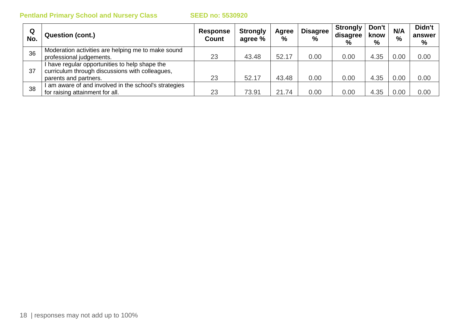| Q<br>No. | <b>Question (cont.)</b>                                                                                                    | <b>Response</b><br><b>Count</b> | <b>Strongly</b><br>agree % | Agree<br>% | <b>Disagree</b><br>$\frac{0}{0}$ | <b>Strongly</b><br>disagree<br>$\frac{0}{0}$ | Don't<br>know<br>% | N/A<br>$\%$ | Didn't<br>answer<br>% |
|----------|----------------------------------------------------------------------------------------------------------------------------|---------------------------------|----------------------------|------------|----------------------------------|----------------------------------------------|--------------------|-------------|-----------------------|
| 36       | Moderation activities are helping me to make sound<br>professional judgements.                                             | 23                              | 43.48                      | 52.17      | 0.00                             | 0.00                                         | 4.35               | 0.00        | 0.00                  |
| 37       | I have regular opportunities to help shape the<br>curriculum through discussions with colleagues,<br>parents and partners. | 23                              | 52.17                      | 43.48      | 0.00                             | 0.00                                         | 4.35               | 0.00        | 0.00                  |
| 38       | am aware of and involved in the school's strategies<br>for raising attainment for all.                                     | 23                              | 73.91                      | 21.74      | 0.00                             | 0.00                                         | 4.35               | 0.00        | 0.00                  |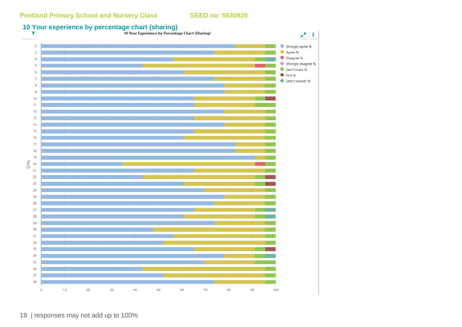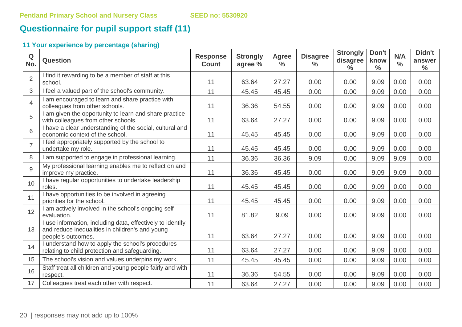# **Questionnaire for pupil support staff (11)**

| Q<br>No.       | Question                                                                                                                            | <b>Response</b><br><b>Count</b> | <b>Strongly</b><br>agree % | <b>Agree</b><br>$\frac{0}{0}$ | <b>Disagree</b><br>$\frac{9}{6}$ | <b>Strongly</b><br>disagree<br>$\frac{0}{0}$ | Don't<br>know<br>$\frac{0}{0}$ | N/A<br>$\frac{0}{0}$ | Didn't<br>answer<br>$\frac{0}{0}$ |
|----------------|-------------------------------------------------------------------------------------------------------------------------------------|---------------------------------|----------------------------|-------------------------------|----------------------------------|----------------------------------------------|--------------------------------|----------------------|-----------------------------------|
| $\overline{2}$ | I find it rewarding to be a member of staff at this<br>school.                                                                      | 11                              | 63.64                      | 27.27                         | 0.00                             | 0.00                                         | 9.09                           | 0.00                 | 0.00                              |
| 3              | I feel a valued part of the school's community.                                                                                     | 11                              | 45.45                      | 45.45                         | 0.00                             | 0.00                                         | 9.09                           | 0.00                 | 0.00                              |
| $\overline{4}$ | I am encouraged to learn and share practice with<br>colleagues from other schools.                                                  | 11                              | 36.36                      | 54.55                         | 0.00                             | 0.00                                         | 9.09                           | 0.00                 | 0.00                              |
| 5              | I am given the opportunity to learn and share practice<br>with colleagues from other schools.                                       | 11                              | 63.64                      | 27.27                         | 0.00                             | 0.00                                         | 9.09                           | 0.00                 | 0.00                              |
| 6              | I have a clear understanding of the social, cultural and<br>economic context of the school.                                         | 11                              | 45.45                      | 45.45                         | 0.00                             | 0.00                                         | 9.09                           | 0.00                 | 0.00                              |
| $\overline{7}$ | I feel appropriately supported by the school to<br>undertake my role.                                                               | 11                              | 45.45                      | 45.45                         | 0.00                             | 0.00                                         | 9.09                           | 0.00                 | 0.00                              |
| 8              | I am supported to engage in professional learning.                                                                                  | 11                              | 36.36                      | 36.36                         | 9.09                             | 0.00                                         | 9.09                           | 9.09                 | 0.00                              |
| 9              | My professional learning enables me to reflect on and<br>improve my practice.                                                       | 11                              | 36.36                      | 45.45                         | 0.00                             | 0.00                                         | 9.09                           | 9.09                 | 0.00                              |
| 10             | I have regular opportunities to undertake leadership<br>roles.                                                                      | 11                              | 45.45                      | 45.45                         | 0.00                             | 0.00                                         | 9.09                           | 0.00                 | 0.00                              |
| 11             | I have opportunities to be involved in agreeing<br>priorities for the school.                                                       | 11                              | 45.45                      | 45.45                         | 0.00                             | 0.00                                         | 9.09                           | 0.00                 | 0.00                              |
| 12             | I am actively involved in the school's ongoing self-<br>evaluation.                                                                 | 11                              | 81.82                      | 9.09                          | 0.00                             | 0.00                                         | 9.09                           | 0.00                 | 0.00                              |
| 13             | I use information, including data, effectively to identify<br>and reduce inequalities in children's and young<br>people's outcomes. | 11                              | 63.64                      | 27.27                         | 0.00                             | 0.00                                         | 9.09                           | 0.00                 | 0.00                              |
| 14             | I understand how to apply the school's procedures<br>relating to child protection and safeguarding.                                 | 11                              | 63.64                      | 27.27                         | 0.00                             | 0.00                                         | 9.09                           | 0.00                 | 0.00                              |
| 15             | The school's vision and values underpins my work.                                                                                   | 11                              | 45.45                      | 45.45                         | 0.00                             | 0.00                                         | 9.09                           | 0.00                 | 0.00                              |
| 16             | Staff treat all children and young people fairly and with<br>respect.                                                               | 11                              | 36.36                      | 54.55                         | 0.00                             | 0.00                                         | 9.09                           | 0.00                 | 0.00                              |
| 17             | Colleagues treat each other with respect.                                                                                           | 11                              | 63.64                      | 27.27                         | 0.00                             | 0.00                                         | 9.09                           | 0.00                 | 0.00                              |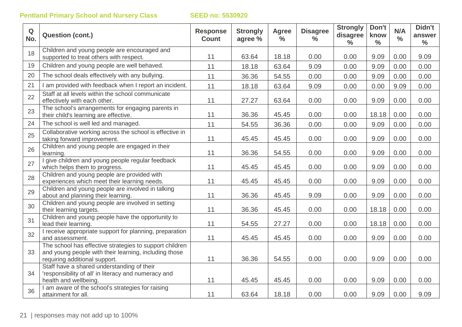| $\mathbf Q$<br>No. | <b>Question (cont.)</b>                                                                                                                           | <b>Response</b><br><b>Count</b> | <b>Strongly</b><br>agree % | <b>Agree</b><br>$\frac{6}{6}$ | <b>Disagree</b><br>$\frac{0}{0}$ | <b>Strongly</b><br>disagree<br>$\frac{0}{0}$ | Don't<br>know<br>$\frac{0}{0}$ | N/A<br>$\frac{0}{0}$ | Didn't<br>answer<br>$\frac{0}{0}$ |
|--------------------|---------------------------------------------------------------------------------------------------------------------------------------------------|---------------------------------|----------------------------|-------------------------------|----------------------------------|----------------------------------------------|--------------------------------|----------------------|-----------------------------------|
| 18                 | Children and young people are encouraged and<br>supported to treat others with respect.                                                           | 11                              | 63.64                      | 18.18                         | 0.00                             | 0.00                                         | 9.09                           | 0.00                 | 9.09                              |
| 19                 | Children and young people are well behaved.                                                                                                       | 11                              | 18.18                      | 63.64                         | 9.09                             | 0.00                                         | 9.09                           | 0.00                 | 0.00                              |
| 20                 | The school deals effectively with any bullying.                                                                                                   | 11                              | 36.36                      | 54.55                         | 0.00                             | 0.00                                         | 9.09                           | 0.00                 | 0.00                              |
| 21                 | I am provided with feedback when I report an incident.                                                                                            | 11                              | 18.18                      | 63.64                         | 9.09                             | 0.00                                         | 0.00                           | 9.09                 | 0.00                              |
| 22                 | Staff at all levels within the school communicate<br>effectively with each other.                                                                 | 11                              | 27.27                      | 63.64                         | 0.00                             | 0.00                                         | 9.09                           | 0.00                 | 0.00                              |
| 23                 | The school's arrangements for engaging parents in<br>their child's learning are effective.                                                        | 11                              | 36.36                      | 45.45                         | 0.00                             | 0.00                                         | 18.18                          | 0.00                 | 0.00                              |
| 24                 | The school is well led and managed.                                                                                                               | 11                              | 54.55                      | 36.36                         | 0.00                             | 0.00                                         | 9.09                           | 0.00                 | 0.00                              |
| 25                 | Collaborative working across the school is effective in<br>taking forward improvement.                                                            | 11                              | 45.45                      | 45.45                         | 0.00                             | 0.00                                         | 9.09                           | 0.00                 | 0.00                              |
| 26                 | Children and young people are engaged in their<br>learning.                                                                                       | 11                              | 36.36                      | 54.55                         | 0.00                             | 0.00                                         | 9.09                           | 0.00                 | 0.00                              |
| 27                 | I give children and young people regular feedback<br>which helps them to progress.                                                                | 11                              | 45.45                      | 45.45                         | 0.00                             | 0.00                                         | 9.09                           | 0.00                 | 0.00                              |
| 28                 | Children and young people are provided with<br>experiences which meet their learning needs.                                                       | 11                              | 45.45                      | 45.45                         | 0.00                             | 0.00                                         | 9.09                           | 0.00                 | 0.00                              |
| 29                 | Children and young people are involved in talking<br>about and planning their learning.                                                           | 11                              | 36.36                      | 45.45                         | 9.09                             | 0.00                                         | 9.09                           | 0.00                 | 0.00                              |
| 30                 | Children and young people are involved in setting<br>their learning targets.                                                                      | 11                              | 36.36                      | 45.45                         | 0.00                             | 0.00                                         | 18.18                          | 0.00                 | 0.00                              |
| 31                 | Children and young people have the opportunity to<br>lead their learning.                                                                         | 11                              | 54.55                      | 27.27                         | 0.00                             | 0.00                                         | 18.18                          | 0.00                 | 0.00                              |
| 32                 | I receive appropriate support for planning, preparation<br>and assessment.                                                                        | 11                              | 45.45                      | 45.45                         | 0.00                             | 0.00                                         | 9.09                           | 0.00                 | 0.00                              |
| 33                 | The school has effective strategies to support children<br>and young people with their learning, including those<br>requiring additional support. | 11                              | 36.36                      | 54.55                         | 0.00                             | 0.00                                         | 9.09                           | 0.00                 | 0.00                              |
| 34                 | Staff have a shared understanding of their<br>'responsibility of all' in literacy and numeracy and                                                |                                 |                            |                               |                                  |                                              |                                |                      |                                   |
|                    | health and wellbeing.<br>I am aware of the school's strategies for raising                                                                        | 11                              | 45.45                      | 45.45                         | 0.00                             | 0.00                                         | 9.09                           | 0.00                 | 0.00                              |
| 36                 | attainment for all.                                                                                                                               | 11                              | 63.64                      | 18.18                         | 0.00                             | 0.00                                         | 9.09                           | 0.00                 | 9.09                              |